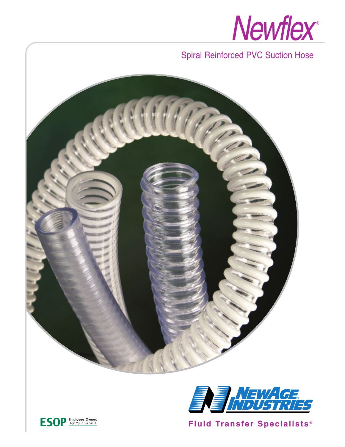

## Spiral Reinforced PVC Suction Hose





**Fluid Transfer Specialists ®**